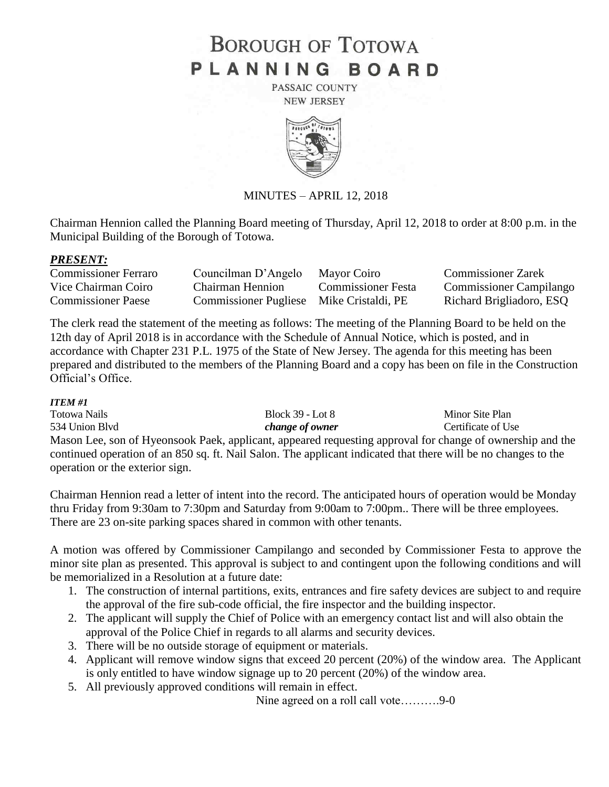# **BOROUGH OF TOTOWA** PLANNING BOARD

PASSAIC COUNTY **NEW JERSEY** 



MINUTES – APRIL 12, 2018

Chairman Hennion called the Planning Board meeting of Thursday, April 12, 2018 to order at 8:00 p.m. in the Municipal Building of the Borough of Totowa.

### *PRESENT:*

| <b>Commissioner Ferraro</b> | Councilman D'Angelo                      | Mayor Coiro        | <b>Commissioner Zarek</b>      |
|-----------------------------|------------------------------------------|--------------------|--------------------------------|
| Vice Chairman Coiro         | Chairman Hennion                         | Commissioner Festa | <b>Commissioner Campilango</b> |
| <b>Commissioner Paese</b>   | Commissioner Pugliese Mike Cristaldi, PE |                    | Richard Brigliadoro, ESQ       |

The clerk read the statement of the meeting as follows: The meeting of the Planning Board to be held on the 12th day of April 2018 is in accordance with the Schedule of Annual Notice, which is posted, and in accordance with Chapter 231 P.L. 1975 of the State of New Jersey. The agenda for this meeting has been prepared and distributed to the members of the Planning Board and a copy has been on file in the Construction Official's Office.

### *ITEM #1*

Totowa Nails Block 39 - Lot 8 Minor Site Plan 534 Union Blvd *change of owner* Certificate of Use Mason Lee, son of Hyeonsook Paek, applicant, appeared requesting approval for change of ownership and the continued operation of an 850 sq. ft. Nail Salon. The applicant indicated that there will be no changes to the operation or the exterior sign.

Chairman Hennion read a letter of intent into the record. The anticipated hours of operation would be Monday thru Friday from 9:30am to 7:30pm and Saturday from 9:00am to 7:00pm.. There will be three employees. There are 23 on-site parking spaces shared in common with other tenants.

A motion was offered by Commissioner Campilango and seconded by Commissioner Festa to approve the minor site plan as presented. This approval is subject to and contingent upon the following conditions and will be memorialized in a Resolution at a future date:

- 1. The construction of internal partitions, exits, entrances and fire safety devices are subject to and require the approval of the fire sub-code official, the fire inspector and the building inspector.
- 2. The applicant will supply the Chief of Police with an emergency contact list and will also obtain the approval of the Police Chief in regards to all alarms and security devices.
- 3. There will be no outside storage of equipment or materials.
- 4. Applicant will remove window signs that exceed 20 percent (20%) of the window area. The Applicant is only entitled to have window signage up to 20 percent (20%) of the window area.
- 5. All previously approved conditions will remain in effect.

Nine agreed on a roll call vote……….9-0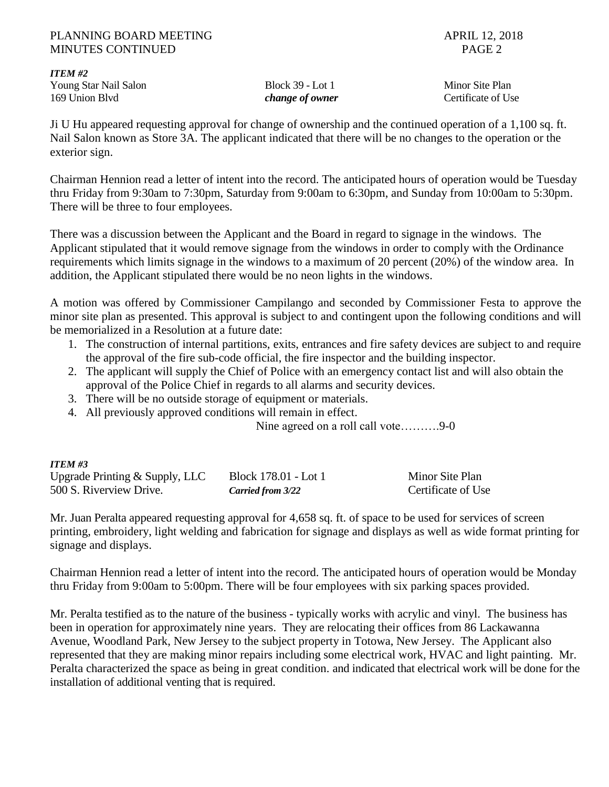### PLANNING BOARD MEETING APRIL 12, 2018 MINUTES CONTINUED PAGE 2

*ITEM #2* Young Star Nail Salon Block 39 - Lot 1 Minor Site Plan 169 Union Blvd *change of owner* Certificate of Use

Ji U Hu appeared requesting approval for change of ownership and the continued operation of a 1,100 sq. ft. Nail Salon known as Store 3A. The applicant indicated that there will be no changes to the operation or the exterior sign.

Chairman Hennion read a letter of intent into the record. The anticipated hours of operation would be Tuesday thru Friday from 9:30am to 7:30pm, Saturday from 9:00am to 6:30pm, and Sunday from 10:00am to 5:30pm. There will be three to four employees.

There was a discussion between the Applicant and the Board in regard to signage in the windows. The Applicant stipulated that it would remove signage from the windows in order to comply with the Ordinance requirements which limits signage in the windows to a maximum of 20 percent (20%) of the window area. In addition, the Applicant stipulated there would be no neon lights in the windows.

A motion was offered by Commissioner Campilango and seconded by Commissioner Festa to approve the minor site plan as presented. This approval is subject to and contingent upon the following conditions and will be memorialized in a Resolution at a future date:

- 1. The construction of internal partitions, exits, entrances and fire safety devices are subject to and require the approval of the fire sub-code official, the fire inspector and the building inspector.
- 2. The applicant will supply the Chief of Police with an emergency contact list and will also obtain the approval of the Police Chief in regards to all alarms and security devices.
- 3. There will be no outside storage of equipment or materials.
- 4. All previously approved conditions will remain in effect.

Nine agreed on a roll call vote……….9-0

## *ITEM #3*

| Upgrade Printing $&$ Supply, LLC | Block 178.01 - Lot 1 | Minor Site Plan    |
|----------------------------------|----------------------|--------------------|
| 500 S. Riverview Drive.          | Carried from 3/22    | Certificate of Use |

Mr. Juan Peralta appeared requesting approval for 4,658 sq. ft. of space to be used for services of screen printing, embroidery, light welding and fabrication for signage and displays as well as wide format printing for signage and displays.

Chairman Hennion read a letter of intent into the record. The anticipated hours of operation would be Monday thru Friday from 9:00am to 5:00pm. There will be four employees with six parking spaces provided.

Mr. Peralta testified as to the nature of the business - typically works with acrylic and vinyl. The business has been in operation for approximately nine years. They are relocating their offices from 86 Lackawanna Avenue, Woodland Park, New Jersey to the subject property in Totowa, New Jersey. The Applicant also represented that they are making minor repairs including some electrical work, HVAC and light painting. Mr. Peralta characterized the space as being in great condition. and indicated that electrical work will be done for the installation of additional venting that is required.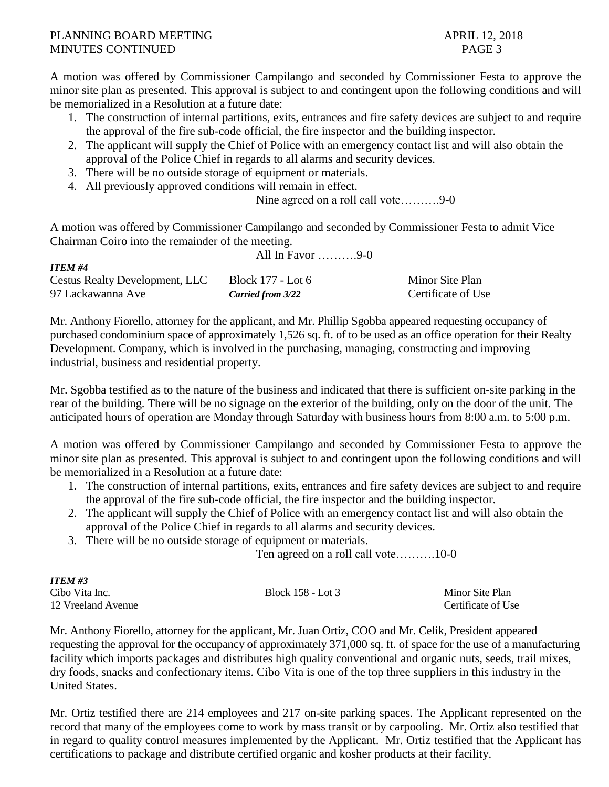A motion was offered by Commissioner Campilango and seconded by Commissioner Festa to approve the minor site plan as presented. This approval is subject to and contingent upon the following conditions and will be memorialized in a Resolution at a future date:

- 1. The construction of internal partitions, exits, entrances and fire safety devices are subject to and require the approval of the fire sub-code official, the fire inspector and the building inspector.
- 2. The applicant will supply the Chief of Police with an emergency contact list and will also obtain the approval of the Police Chief in regards to all alarms and security devices.
- 3. There will be no outside storage of equipment or materials.
- 4. All previously approved conditions will remain in effect.

Nine agreed on a roll call vote……….9-0

A motion was offered by Commissioner Campilango and seconded by Commissioner Festa to admit Vice Chairman Coiro into the remainder of the meeting. All In Favor  $\qquad \qquad 0 \qquad$ 

| <b>ITEM #4</b>                        |                   |                    |  |
|---------------------------------------|-------------------|--------------------|--|
| <b>Cestus Realty Development, LLC</b> | Block 177 - Lot 6 | Minor Site Plan    |  |
| 97 Lackawanna Ave                     | Carried from 3/22 | Certificate of Use |  |

Mr. Anthony Fiorello, attorney for the applicant, and Mr. Phillip Sgobba appeared requesting occupancy of purchased condominium space of approximately 1,526 sq. ft. of to be used as an office operation for their Realty Development. Company, which is involved in the purchasing, managing, constructing and improving industrial, business and residential property.

Mr. Sgobba testified as to the nature of the business and indicated that there is sufficient on-site parking in the rear of the building. There will be no signage on the exterior of the building, only on the door of the unit. The anticipated hours of operation are Monday through Saturday with business hours from 8:00 a.m. to 5:00 p.m.

A motion was offered by Commissioner Campilango and seconded by Commissioner Festa to approve the minor site plan as presented. This approval is subject to and contingent upon the following conditions and will be memorialized in a Resolution at a future date:

- 1. The construction of internal partitions, exits, entrances and fire safety devices are subject to and require the approval of the fire sub-code official, the fire inspector and the building inspector.
- 2. The applicant will supply the Chief of Police with an emergency contact list and will also obtain the approval of the Police Chief in regards to all alarms and security devices.
- 3. There will be no outside storage of equipment or materials.

Ten agreed on a roll call vote……….10-0

| <b>ITEM #3</b>     |                   |                    |
|--------------------|-------------------|--------------------|
| Cibo Vita Inc.     | Block 158 - Lot 3 | Minor Site Plan    |
| 12 Vreeland Avenue |                   | Certificate of Use |

Mr. Anthony Fiorello, attorney for the applicant, Mr. Juan Ortiz, COO and Mr. Celik, President appeared requesting the approval for the occupancy of approximately 371,000 sq. ft. of space for the use of a manufacturing facility which imports packages and distributes high quality conventional and organic nuts, seeds, trail mixes, dry foods, snacks and confectionary items. Cibo Vita is one of the top three suppliers in this industry in the United States.

Mr. Ortiz testified there are 214 employees and 217 on-site parking spaces. The Applicant represented on the record that many of the employees come to work by mass transit or by carpooling. Mr. Ortiz also testified that in regard to quality control measures implemented by the Applicant. Mr. Ortiz testified that the Applicant has certifications to package and distribute certified organic and kosher products at their facility.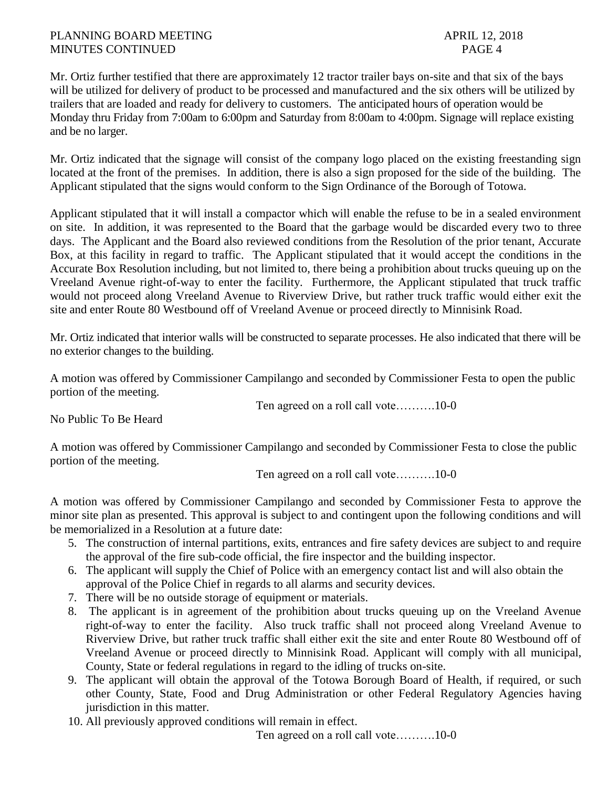Mr. Ortiz further testified that there are approximately 12 tractor trailer bays on-site and that six of the bays will be utilized for delivery of product to be processed and manufactured and the six others will be utilized by trailers that are loaded and ready for delivery to customers. The anticipated hours of operation would be Monday thru Friday from 7:00am to 6:00pm and Saturday from 8:00am to 4:00pm. Signage will replace existing and be no larger.

Mr. Ortiz indicated that the signage will consist of the company logo placed on the existing freestanding sign located at the front of the premises. In addition, there is also a sign proposed for the side of the building. The Applicant stipulated that the signs would conform to the Sign Ordinance of the Borough of Totowa.

Applicant stipulated that it will install a compactor which will enable the refuse to be in a sealed environment on site. In addition, it was represented to the Board that the garbage would be discarded every two to three days. The Applicant and the Board also reviewed conditions from the Resolution of the prior tenant, Accurate Box, at this facility in regard to traffic. The Applicant stipulated that it would accept the conditions in the Accurate Box Resolution including, but not limited to, there being a prohibition about trucks queuing up on the Vreeland Avenue right-of-way to enter the facility. Furthermore, the Applicant stipulated that truck traffic would not proceed along Vreeland Avenue to Riverview Drive, but rather truck traffic would either exit the site and enter Route 80 Westbound off of Vreeland Avenue or proceed directly to Minnisink Road.

Mr. Ortiz indicated that interior walls will be constructed to separate processes. He also indicated that there will be no exterior changes to the building.

A motion was offered by Commissioner Campilango and seconded by Commissioner Festa to open the public portion of the meeting.

Ten agreed on a roll call vote……….10-0

No Public To Be Heard

A motion was offered by Commissioner Campilango and seconded by Commissioner Festa to close the public portion of the meeting.

Ten agreed on a roll call vote……….10-0

A motion was offered by Commissioner Campilango and seconded by Commissioner Festa to approve the minor site plan as presented. This approval is subject to and contingent upon the following conditions and will be memorialized in a Resolution at a future date:

- 5. The construction of internal partitions, exits, entrances and fire safety devices are subject to and require the approval of the fire sub-code official, the fire inspector and the building inspector.
- 6. The applicant will supply the Chief of Police with an emergency contact list and will also obtain the approval of the Police Chief in regards to all alarms and security devices.
- 7. There will be no outside storage of equipment or materials.
- 8. The applicant is in agreement of the prohibition about trucks queuing up on the Vreeland Avenue right-of-way to enter the facility. Also truck traffic shall not proceed along Vreeland Avenue to Riverview Drive, but rather truck traffic shall either exit the site and enter Route 80 Westbound off of Vreeland Avenue or proceed directly to Minnisink Road. Applicant will comply with all municipal, County, State or federal regulations in regard to the idling of trucks on-site.
- 9. The applicant will obtain the approval of the Totowa Borough Board of Health, if required, or such other County, State, Food and Drug Administration or other Federal Regulatory Agencies having jurisdiction in this matter.
- 10. All previously approved conditions will remain in effect.

Ten agreed on a roll call vote……….10-0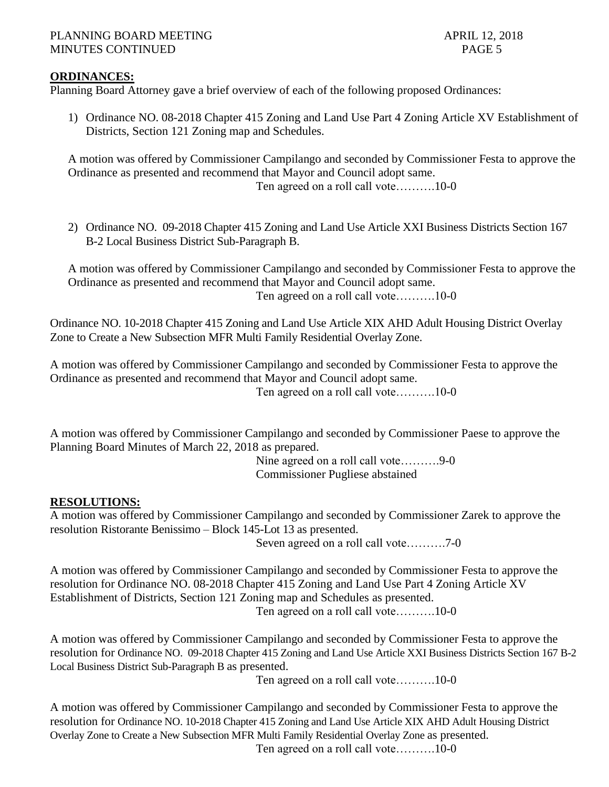## **ORDINANCES:**

Planning Board Attorney gave a brief overview of each of the following proposed Ordinances:

1) Ordinance NO. 08-2018 Chapter 415 Zoning and Land Use Part 4 Zoning Article XV Establishment of Districts, Section 121 Zoning map and Schedules.

A motion was offered by Commissioner Campilango and seconded by Commissioner Festa to approve the Ordinance as presented and recommend that Mayor and Council adopt same. Ten agreed on a roll call vote……….10-0

2) Ordinance NO. 09-2018 Chapter 415 Zoning and Land Use Article XXI Business Districts Section 167 B-2 Local Business District Sub-Paragraph B.

A motion was offered by Commissioner Campilango and seconded by Commissioner Festa to approve the Ordinance as presented and recommend that Mayor and Council adopt same. Ten agreed on a roll call vote……….10-0

Ordinance NO. 10-2018 Chapter 415 Zoning and Land Use Article XIX AHD Adult Housing District Overlay Zone to Create a New Subsection MFR Multi Family Residential Overlay Zone.

A motion was offered by Commissioner Campilango and seconded by Commissioner Festa to approve the Ordinance as presented and recommend that Mayor and Council adopt same. Ten agreed on a roll call vote……….10-0

A motion was offered by Commissioner Campilango and seconded by Commissioner Paese to approve the Planning Board Minutes of March 22, 2018 as prepared.

Nine agreed on a roll call vote……….9-0 Commissioner Pugliese abstained

## **RESOLUTIONS:**

A motion was offered by Commissioner Campilango and seconded by Commissioner Zarek to approve the resolution Ristorante Benissimo – Block 145-Lot 13 as presented.

Seven agreed on a roll call vote……….7-0

A motion was offered by Commissioner Campilango and seconded by Commissioner Festa to approve the resolution for Ordinance NO. 08-2018 Chapter 415 Zoning and Land Use Part 4 Zoning Article XV Establishment of Districts, Section 121 Zoning map and Schedules as presented. Ten agreed on a roll call vote……….10-0

A motion was offered by Commissioner Campilango and seconded by Commissioner Festa to approve the resolution for Ordinance NO. 09-2018 Chapter 415 Zoning and Land Use Article XXI Business Districts Section 167 B-2 Local Business District Sub-Paragraph B as presented.

Ten agreed on a roll call vote……….10-0

A motion was offered by Commissioner Campilango and seconded by Commissioner Festa to approve the resolution for Ordinance NO. 10-2018 Chapter 415 Zoning and Land Use Article XIX AHD Adult Housing District Overlay Zone to Create a New Subsection MFR Multi Family Residential Overlay Zone as presented. Ten agreed on a roll call vote……….10-0